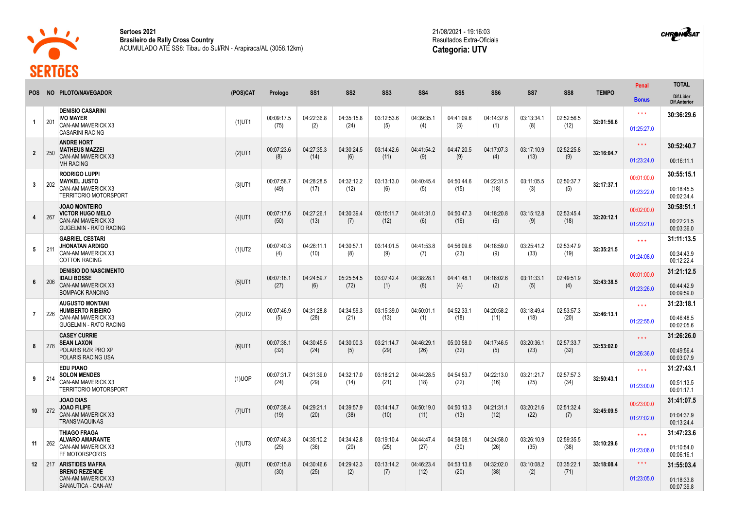

**Sertoes 2021 Brasileiro de Rally Cross Country** ACUMULADO ATÉ SS8: Tibau do Sul/RN - Arapiraca/AL (3058.12km) 21/08/2021 - 19:16:03 Resultados Extra-Oficiais **Categoria: UTV**



|                 |                                                                                 |           |                    |                    |                    |                   |                    |                    |                    |                   |                    |              | Penal                   | <b>TOTAL</b>                     |
|-----------------|---------------------------------------------------------------------------------|-----------|--------------------|--------------------|--------------------|-------------------|--------------------|--------------------|--------------------|-------------------|--------------------|--------------|-------------------------|----------------------------------|
| <b>POS</b>      | NO PILOTO/NAVEGADOR                                                             | (POS)CAT  | Prologo            | SS <sub>1</sub>    | SS <sub>2</sub>    | SS <sub>3</sub>   | SS <sub>4</sub>    | SS <sub>5</sub>    | SS <sub>6</sub>    | SS <sub>7</sub>   | SS <sub>8</sub>    | <b>TEMPO</b> | <b>Bonus</b>            | Dif.Lider<br><b>Dif.Anterior</b> |
| $\mathbf{1}$    | <b>DENISIO CASARINI</b><br><b>IVO MAYER</b><br>201<br><b>CAN-AM MAVERICK X3</b> | $(1)$ UT1 | 00:09:17.5<br>(75) | 04:22:36.8<br>(2)  | 04:35:15.8<br>(24) | 03:12:53.6<br>(5) | 04:39:35.1<br>(4)  | 04:41:09.6<br>(3)  | 04:14:37.6<br>(1)  | 03:13:34.1<br>(8) | 02:52:56.5<br>(12) | 32:01:56.6   | $***$<br>01:25:27.0     | 30:36:29.6                       |
|                 | <b>CASARINI RACING</b>                                                          |           |                    |                    |                    |                   |                    |                    |                    |                   |                    |              |                         |                                  |
| $\mathbf{2}$    | <b>ANDRE HORT</b><br><b>MATHEUS MAZZEI</b><br>250                               | $(2)$ UT1 | 00:07:23.6         | 04:27:35.3         | 04:30:24.5         | 03:14:42.6        | 04:41:54.2         | 04:47:20.5         | 04:17:07.3         | 03:17:10.9        | 02:52:25.8         | 32:16:04.7   | $\star\star\star$       | 30:52:40.7                       |
|                 | <b>CAN-AM MAVERICK X3</b><br><b>MH RACING</b>                                   |           | (8)                | (14)               | (6)                | (11)              | (9)                | (9)                | (4)                | (13)              | (9)                |              | 01:23:24.0              | 00:16:11.1                       |
|                 | <b>RODRIGO LUPPI</b><br><b>MAYKEL JUSTO</b>                                     |           | 00:07:58.7         | 04:28:28.5         | 04:32:12.2         | 03:13:13.0        | 04:40:45.4         | 04:50:44.6         | 04:22:31.5         | 03:11:05.5        | 02:50:37.7         |              | 00:01:00.0              | 30:55:15.1                       |
| $\mathbf{3}$    | 202<br><b>CAN-AM MAVERICK X3</b><br><b>TERRITORIO MOTORSPORT</b>                | $(3)$ UT1 | (49)               | (17)               | (12)               | (6)               | (5)                | (15)               | (18)               | (3)               | (5)                | 32:17:37.1   | 01:23:22.0              | 00:18:45.5<br>00:02:34.4         |
|                 | <b>JOAO MONTEIRO</b><br><b>VICTOR HUGO MELO</b>                                 |           | 00:07:17.6         | 04:27:26.1         | 04:30:39.4         | 03:15:11.7        | 04:41:31.0         | 04:50:47.3         | 04:18:20.8         | 03:15:12.8        | 02:53:45.4         |              | 00:02:00.0              | 30:58:51.1                       |
| 4               | 267<br><b>CAN-AM MAVERICK X3</b><br><b>GUGELMIN - RATO RACING</b>               | $(4)$ UT1 | (50)               | (13)               | (7)                | (12)              | (6)                | (16)               | (6)                | (9)               | (18)               | 32:20:12.1   | 01:23:21.0              | 00:22:21.5<br>00:03:36.0         |
|                 | <b>GABRIEL CESTARI</b><br><b>JHONATAN ARDIGO</b>                                |           | 00:07:40.3         | 04:26:11.1         | 04:30:57.1         | 03:14:01.5        | 04:41:53.8         | 04:56:09.6         | 04:18:59.0         | 03:25:41.2        | 02:53:47.9         |              | $\star\star\star$       | 31:11:13.5                       |
| 5               | 211<br>CAN-AM MAVERICK X3<br><b>COTTON RACING</b>                               | $(1)$ UT2 | (4)                | (10)               | (8)                | (9)               | (7)                | (23)               | (9)                | (33)              | (19)               | 32:35:21.5   | 01:24:08.0              | 00:34:43.9<br>00:12:22.4         |
|                 | <b>DENISIO DO NASCIMENTO</b><br><b>IDALI BOSSE</b>                              |           | 00:07:18.1         | 04:24:59.7         | 05:25:54.5         | 03:07:42.4        | 04:38:28.1         | 04:41:48.1         | 04:16:02.6         | 03:11:33.1        | 02:49:51.9         |              | 00:01:00.0              | 31:21:12.5                       |
| 6               | 206<br>CAN-AM MAVERICK X3<br><b>BOMPACK RANCING</b>                             | $(5)$ UT1 | (27)               | (6)                | (72)               | (1)               | (8)                | (4)                | (2)                | (5)               | (4)                | 32:43:38.5   | 01:23:26.0              | 00:44:42.9<br>00:09:59.0         |
|                 | <b>AUGUSTO MONTANI</b><br><b>HUMBERTO RIBEIRO</b>                               |           | 00:07:46.9         | 04:31:28.8         | 04:34:59.3         | 03:15:39.0        | 04:50:01.1         | 04:52:33.1         | 04:20:58.2         | 03:18:49.4        | 02:53:57.3         |              | $\star\star\star$       | 31:23:18.1                       |
| $\overline{7}$  | 226<br><b>CAN-AM MAVERICK X3</b><br><b>GUGELMIN - RATO RACING</b>               | $(2)$ UT2 | (5)                | (28)               | (21)               | (13)              | (1)                | (18)               | (11)               | (18)              | (20)               | 32:46:13.1   | 01:22:55.0              | 00:46:48.5<br>00:02:05.6         |
|                 | <b>CASEY CURRIE</b><br><b>SEAN LAXON</b>                                        |           | 00:07:38.1         | 04:30:45.5         | 04:30:00.3         | 03:21:14.7        | 04:46:29.1         | 05:00:58.0         | 04:17:46.5         | 03:20:36.1        | 02:57:33.7         |              | $\star\star\star$       | 31:26:26.0                       |
| 8               | 278<br>POLARIS RZR PRO XP<br><b>POLARIS RACING USA</b>                          | $(6)$ UT1 | (32)               | (24)               | (5)                | (29)              | (26)               | (32)               | (5)                | (23)              | (32)               | 32:53:02.0   | 01:26:36.0              | 00:49:56.4<br>00:03:07.9         |
|                 | <b>EDU PIANO</b><br><b>SOLON MENDES</b>                                         |           | 00:07:31.7         | 04:31:39.0         | 04:32:17.0         | 03:18:21.2        | 04:44:28.5         | 04:54:53.7         | 04:22:13.0         | 03:21:21.7        | 02:57:57.3         |              | $\star\star\star$       | 31:27:43.1                       |
| 9               | 214<br>CAN-AM MAVERICK X3<br><b>TERRITORIO MOTORSPORT</b>                       | $(1)$ UOP | (24)               | (29)               | (14)               | (21)              | (18)               | (22)               | (16)               | (25)              | (34)               | 32:50:43.1   | 01:23:00.0              | 00:51:13.5<br>00:01:17.1         |
|                 | <b>JOAO DIAS</b><br><b>JOAO FILIPE</b>                                          |           | 00:07:38.4         | 04:29:21.1         | 04:39:57.9         | 03:14:14.7        | 04:50:19.0         | 04:50:13.3         | 04:21:31.1         | 03:20:21.6        | 02:51:32.4         |              | 00:23:00.0              | 31:41:07.5                       |
| 10              | 272<br>CAN-AM MAVERICK X3<br>TRANSMAQUINAS                                      | $(7)$ UT1 | (19)               | (20)               | (38)               | (10)              | (11)               | (13)               | (12)               | (22)              | (7)                | 32:45:09.5   | 01:27:02.0              | 01:04:37.9<br>00:13:24.4         |
|                 | <b>THIAGO FRAGA</b><br><b>ALVARO AMARANTE</b>                                   |           | 00:07:46.3         | 04:35:10.2         | 04:34:42.8         | 03:19:10.4        | 04:44:47.4         | 04:58:08.1         | 04:24:58.0         | 03:26:10.9        | 02:59:35.5         |              | $\star$ $\star$ $\star$ | 31:47:23.6                       |
| 11              | 262<br>CAN-AM MAVERICK X3<br>FF MOTORSPORTS                                     | $(1)$ UT3 | (25)               | (36)               | (20)               | (25)              | (27)               | (30)               | (26)               | (35)              | (38)               | 33:10:29.6   | 01:23:06.0              | 01:10:54.0<br>00:06:16.1         |
| 12 <sup>2</sup> | 217 ARISTIDES MAFRA<br><b>BRENO REZENDE</b>                                     | $(8)$ UT1 | 00:07:15.8<br>(30) | 04:30:46.6<br>(25) | 04:29:42.3<br>(2)  | 03:13:14.2<br>(7) | 04:46:23.4<br>(12) | 04:53:13.8<br>(20) | 04:32:02.0<br>(38) | 03:10:08.2<br>(2) | 03:35:22.1<br>(71) | 33:18:08.4   | $\star\star\star$       | 31:55:03.4                       |
|                 | <b>CAN-AM MAVERICK X3</b><br>SANAUTICA - CAN-AM                                 |           |                    |                    |                    |                   |                    |                    |                    |                   |                    |              | 01:23:05.0              | 01:18:33.8<br>00:07:39.8         |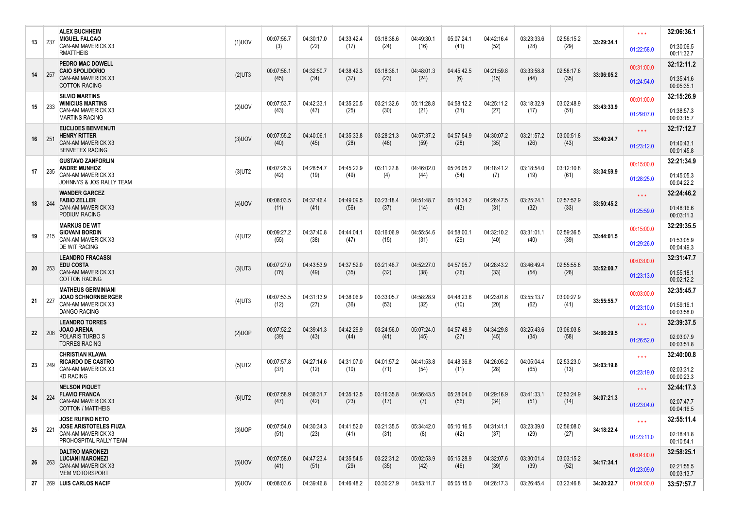| 13 | 237  | <b>ALEX BUCHHEIM</b><br><b>MIGUEL FALCAO</b><br>CAN-AM MAVERICK X3  | $(1)$ UOV | 00:07:56.7<br>(3)  | 04:30:17.0<br>(22) | 04:33:42.4<br>(17) | 03:18:38.6<br>(24) | 04:49:30.1<br>(16) | 05:07:24.1<br>(41) | 04:42:16.4<br>(52) | 03:23:33.6<br>(28) | 02:56:15.2<br>(29) | 33:29:34.1 | $\star \star \star$      | 32:06:36.1<br>01:30:06.5 |
|----|------|---------------------------------------------------------------------|-----------|--------------------|--------------------|--------------------|--------------------|--------------------|--------------------|--------------------|--------------------|--------------------|------------|--------------------------|--------------------------|
|    |      | <b>RMATTHEIS</b><br><b>PEDRO MAC DOWELL</b>                         |           |                    |                    |                    |                    |                    |                    |                    |                    |                    |            | 01:22:58.0               | 00:11:32.7<br>32:12:11.2 |
| 14 | 257  | <b>CAIO SPOLIDORIO</b><br>CAN-AM MAVERICK X3                        | $(2)$ UT3 | 00:07:56.1<br>(45) | 04:32:50.7<br>(34) | 04:38:42.3<br>(37) | 03:18:36.1<br>(23) | 04:48:01.3<br>(24) | 04:45:42.5<br>(6)  | 04:21:59.8<br>(15) | 03:33:58.8<br>(44) | 02:58:17.6<br>(35) | 33:06:05.2 | 00:31:00.0<br>01:24:54.0 | 01:35:41.6               |
|    |      | <b>COTTON RACING</b><br><b>SILVIO MARTINS</b>                       |           |                    |                    |                    |                    |                    |                    |                    |                    |                    |            |                          | 00:05:35.1<br>32:15:26.9 |
| 15 | 233  | <b>WINICIUS MARTINS</b><br><b>CAN-AM MAVERICK X3</b>                | $(2)$ UOV | 00:07:53.7<br>(43) | 04:42:33.1<br>(47) | 04:35:20.5<br>(25) | 03:21:32.6<br>(30) | 05:11:28.8<br>(21) | 04:58:12.2<br>(31) | 04:25:11.2<br>(27) | 03:18:32.9<br>(17) | 03:02:48.9<br>(51) | 33:43:33.9 | 00:01:00.0<br>01:29:07.0 | 01:38:57.3               |
|    |      | <b>MARTINS RACING</b><br><b>EUCLIDES BENVENUTI</b>                  |           |                    |                    |                    |                    |                    |                    |                    |                    |                    |            | $\star \star \star$      | 00:03:15.7<br>32:17:12.7 |
| 16 | 251  | <b>HENRY RITTER</b><br>CAN-AM MAVERICK X3<br><b>BENVETEX RACING</b> | $(3)$ UOV | 00:07:55.2<br>(40) | 04:40:06.1<br>(45) | 04:35:33.8<br>(28) | 03:28:21.3<br>(48) | 04:57:37.2<br>(59) | 04:57:54.9<br>(28) | 04:30:07.2<br>(35) | 03:21:57.2<br>(26) | 03:00:51.8<br>(43) | 33:40:24.7 | 01:23:12.0               | 01:40:43.1<br>00:01:45.8 |
|    |      | <b>GUSTAVO ZANFORLIN</b><br><b>ANDRE MUNHOZ</b>                     |           | 00:07:26.3         | 04:28:54.7         | 04:45:22.9         | 03:11:22.8         | 04:46:02.0         | 05:26:05.2         | 04:18:41.2         | 03:18:54.0         | 03:12:10.8         |            | 00:15:00.0               | 32:21:34.9               |
| 17 | 235  | CAN-AM MAVERICK X3<br>JOHNNYS & JOS RALLY TEAM                      | $(3)$ UT2 | (42)               | (19)               | (49)               | (4)                | (44)               | (54)               | (7)                | (19)               | (61)               | 33:34:59.9 | 01:28:25.0               | 01:45:05.3<br>00:04:22.2 |
| 18 | 244  | <b>WANDER GARCEZ</b><br><b>FABIO ZELLER</b>                         | $(4)$ UOV | 00:08:03.5         | 04:37:46.4         | 04:49:09.5         | 03:23:18.4         | 04:51:48.7         | 05:10:34.2         | 04:26:47.5         | 03:25:24.1         | 02:57:52.9         | 33:50:45.2 | $\star\star\star$        | 32:24:46.2               |
|    |      | CAN-AM MAVERICK X3<br>PODIUM RACING                                 |           | (11)               | (41)               | (56)               | (37)               | (14)               | (43)               | (31)               | (32)               | (33)               |            | 01:25:59.0               | 01:48:16.6<br>00:03:11.3 |
| 19 | 215  | <b>MARKUS DE WIT</b><br><b>GIOVANI BORDIN</b>                       | $(4)$ UT2 | 00:09:27.2         | 04:37:40.8         | 04:44:04.1         | 03:16:06.9         | 04:55:54.6         | 04:58:00.1         | 04:32:10.2         | 03:31:01.1         | 02:59:36.5         | 33:44:01.5 | 00:15:00.0               | 32:29:35.5               |
|    |      | CAN-AM MAVERICK X3<br><b>DE WIT RACING</b>                          |           | (55)               | (38)               | (47)               | (15)               | (31)               | (29)               | (40)               | (40)               | (39)               |            | 01:29:26.0               | 01:53:05.9<br>00:04:49.3 |
| 20 | 253  | <b>LEANDRO FRACASSI</b><br><b>EDU COSTA</b>                         | $(3)$ UT3 | 00:07:27.0         | 04:43:53.9         | 04:37:52.0         | 03:21:46.7         | 04:52:27.0         | 04:57:05.7         | 04:28:43.2         | 03:46:49.4         | 02:55:55.8         | 33:52:00.7 | 00:03:00.0               | 32:31:47.7               |
|    |      | CAN-AM MAVERICK X3<br><b>COTTON RACING</b>                          |           | (76)               | (49)               | (35)               | (32)               | (38)               | (26)               | (33)               | (54)               | (26)               |            | 01:23:13.0               | 01:55:18.1<br>00:02:12.2 |
| 21 | 227  | <b>MATHEUS GERMINIANI</b><br><b>JOAO SCHNORNBERGER</b>              | $(4)$ UT3 | 00:07:53.5         | 04:31:13.9         | 04:38:06.9         | 03:33:05.7         | 04:58:28.9         | 04:48:23.6         | 04:23:01.6         | 03:55:13.7         | 03:00:27.9         | 33:55:55.7 | 00:03:00.0               | 32:35:45.7               |
|    |      | CAN-AM MAVERICK X3<br><b>DANGO RACING</b>                           |           | (12)               | (27)               | (36)               | (53)               | (32)               | (10)               | (20)               | (62)               | (41)               |            | 01:23:10.0               | 01:59:16.1<br>00:03:58.0 |
| 22 | 208  | <b>LEANDRO TORRES</b><br><b>JOAO ARENA</b>                          | $(2)$ UOP | 00:07:52.2         | 04:39:41.3         | 04:42:29.9         | 03:24:56.0         | 05:07:24.0         | 04:57:48.9         | 04:34:29.8         | 03:25:43.6         | 03:06:03.8         | 34:06:29.5 | $\star\star\star$        | 32:39:37.5               |
|    |      | POLARIS TURBO S<br><b>TORRES RACING</b>                             |           | (39)               | (43)               | (44)               | (41)               | (45)               | (27)               | (45)               | (34)               | (58)               |            | 01:26:52.0               | 02:03:07.9<br>00:03:51.8 |
| 23 | 249  | CHRISTIAN KLAWA<br><b>RICARDO DE CASTRO</b>                         | $(5)$ UT2 | 00:07:57.8         | 04:27:14.6         | 04:31:07.0         | 04:01:57.2         | 04:41:53.8         | 04:48:36.8         | 04:26:05.2         | 04:05:04.4         | 02:53:23.0         | 34:03:19.8 | $\star \star \star$      | 32:40:00.8               |
|    |      | CAN-AM MAVERICK X3<br><b>KD RACING</b>                              |           | (37)               | (12)               | (10)               | (71)               | (54)               | (11)               | (28)               | (65)               | (13)               |            | 01:23:19.0               | 02:03:31.2<br>00:00:23.3 |
| 24 | 224  | <b>NELSON PIQUET</b><br><b>FLAVIO FRANCA</b>                        | $(6)$ UT2 | 00:07:58.9         | 04:38:31.7         | 04:35:12.5         | 03:16:35.8         | 04:56:43.5         | 05:28:04.0         | 04:29:16.9         | 03:41:33.1         | 02:53:24.9         | 34:07:21.3 | $\star \star \star$      | 32:44:17.3               |
|    |      | <b>CAN-AM MAVERICK X3</b><br><b>COTTON / MATTHEIS</b>               |           | (47)               | (42)               | (23)               | (17)               | (7)                | (56)               | (34)               | (51)               | (14)               |            | 01:23:04.0               | 02:07:47.7<br>00:04:16.5 |
| 25 | -221 | <b>JOSE RUFINO NETO</b><br><b>JOSE ARISTOTELES FIUZA</b>            | $(3)$ UOP | 00:07:54.0         | 04:30:34.3         | 04:41:52.0         | 03:21:35.5         | 05:34:42.0         | 05:10:16.5         | 04:31:41.1         | 03:23:39.0         | 02:56:08.0         | 34:18:22.4 | $\star\star\star$        | 32:55:11.4               |
|    |      | CAN-AM MAVERICK X3<br>PROHOSPITAL RALLY TEAM                        |           | (51)               | (23)               | (41)               | (31)               | (8)                | (42)               | (37)               | (29)               | (27)               |            | 01:23:11.0               | 02:18:41.8<br>00:10:54.1 |
| 26 | 263  | <b>DALTRO MARONEZI</b><br><b>LUCIANI MARONEZI</b>                   | $(5)$ UOV | 00:07:58.0         | 04:47:23.4         | 04:35:54.5         | 03:22:31.2         | 05:02:53.9         | 05:15:28.9         | 04:32:07.6         | 03:30:01.4         | 03:03:15.2         | 34:17:34.1 | 00:04:00.0               | 32:58:25.1               |
|    |      | <b>CAN-AM MAVERICK X3</b><br><b>MEM MOTORSPORT</b>                  |           | (41)               | (51)               | (29)               | (35)               | (42)               | (46)               | (39)               | (39)               | (52)               |            | 01:23:09.0               | 02:21:55.5<br>00:03:13.7 |
| 27 |      | │ 269 │LUIS CARLOS NACIF                                            | $(6)$ UOV | 00:08:03.6         | 04:39:46.8         | 04:46:48.2         | 03:30:27.9         | 04:53:11.7         | 05:05:15.0         | 04:26:17.3         | 03:26:45.4         | 03:23:46.8         | 34:20:22.7 | 01:04:00.0               | 33:57:57.7               |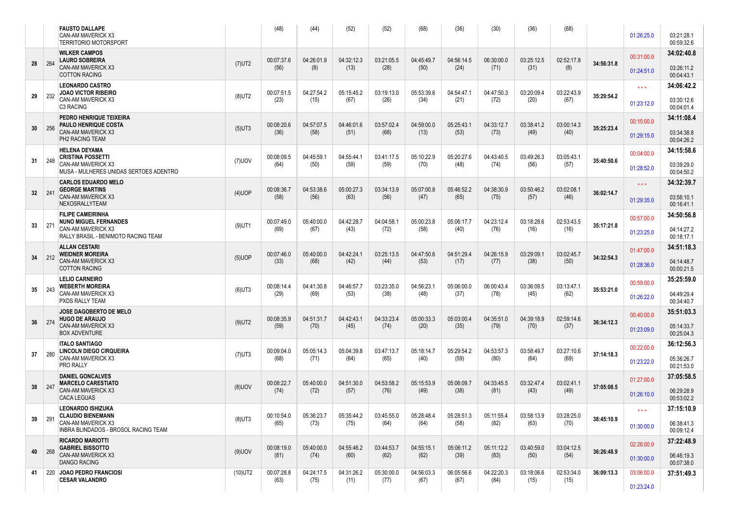|    |     | <b>FAUSTO DALLAPE</b><br>CAN-AM MAVERICK X3<br><b>TERRITORIO MOTORSPORT</b> |            | (48)               | (44)               | (52)               | (52)               | (68)               | (36)               | (30)               | (36)               | (68)               |            | 01:26:25.0        | 03:21:28.1<br>00:59:32.6 |
|----|-----|-----------------------------------------------------------------------------|------------|--------------------|--------------------|--------------------|--------------------|--------------------|--------------------|--------------------|--------------------|--------------------|------------|-------------------|--------------------------|
|    |     | <b>WILKER CAMPOS</b><br><b>LAURO SOBREIRA</b>                               |            | 00:07:37.6         | 04:26:01.9         | 04:32:12.3         | 03:21:05.5         | 04:45:49.7         | 04:56:14.5         | 06:30:00.0         | 03:25:12.5         | 02:52:17.8         |            | 00:31:00.0        | 34:02:40.8               |
| 28 | 264 | CAN-AM MAVERICK X3<br><b>COTTON RACING</b>                                  | $(7)$ UT2  | (56)               | (8)                | (13)               | (28)               | (50)               | (24)               | (71)               | (31)               | (8)                | 34:56:31.8 | 01:24:51.0        | 03:26:11.2<br>00:04:43.1 |
|    |     | <b>LEONARDO CASTRO</b><br><b>JOAO VICTOR RIBEIRO</b>                        |            | 00:07:51.5         | 04:27:54.2         | 05:15:45.2         | 03:19:13.0         | 05:53:39.6         | 04:54:47.1         | 04:47:50.3         | 03:20:09.4         | 03:22:43.9         |            | $\star\star\star$ | 34:06:42.2               |
| 29 | 232 | CAN-AM MAVERICK X3<br>C3 RACING                                             | $(8)$ UT2  | (23)               | (15)               | (67)               | (26)               | (34)               | (21)               | (72)               | (20)               | (67)               | 35:29:54.2 | 01:23:12.0        | 03:30:12.6<br>00:04:01.4 |
|    |     | PEDRO HENRIQUE TEIXEIRA<br>PAULO HENRIQUE COSTA                             |            | 00:08:20.6         | 04:57:07.5         | 04:46:01.6         | 03:57:02.4         | 04:59:00.0         | 05:25:43.1         | 04:33:12.7         | 03:38:41.2         | 03:00:14.3         |            | 00:15:00.0        | 34:11:08.4               |
| 30 | 256 | CAN-AM MAVERICK X3<br>PH2 RACING TEAM                                       | $(5)$ UT3  | (36)               | (58)               | (51)               | (68)               | (13)               | (53)               | (73)               | (49)               | (40)               | 35:25:23.4 | 01:29:15.0        | 03:34:38.8<br>00:04:26.2 |
|    |     | <b>HELENA DEYAMA</b><br><b>CRISTINA POSSETTI</b>                            |            | 00:08:09.5         | 04:45:59.1         | 04:55:44.1         | 03:41:17.5         | 05:10:22.9         | 05:20:27.6         | 04:43:40.5         | 03:49:26.3         | 03:05:43.1         |            | 00:04:00.0        | 34:15:58.6               |
| 31 | 248 | CAN-AM MAVERICK X3<br>MUSA - MULHERES UNIDAS SERTOES ADENTRO                | $(7)$ UOV  | (64)               | (50)               | (59)               | (59)               | (70)               | (48)               | (74)               | (56)               | (57)               | 35:40:50.6 | 01:28:52.0        | 03:39:29.0<br>00:04:50.2 |
|    | 241 | <b>CARLOS EDUARDO MELO</b><br><b>GEORGE MARTINS</b>                         |            | 00:08:36.7         | 04:53:38.6         | 05:00:27.3         | 03:34:13.9         | 05:07:00.8         | 05:46:52.2         | 04:38:30.9         | 03:50:46.2         | 03:02:08.1         | 36:02:14.7 | $\star\star\star$ | 34:32:39.7               |
| 32 |     | CAN-AM MAVERICK X3<br>NEXOSRALLYTEAM                                        | $(4)$ UOP  | (58)               | (56)               | (63)               | (56)               | (47)               | (65)               | (75)               | (57)               | (46)               |            | 01:29:35.0        | 03:56:10.1<br>00:16:41.1 |
|    |     | <b>FILIPE CAMEIRINHA</b><br><b>NUNO MIGUEL FERNANDES</b>                    |            | 00:07:49.0         | 05:40:00.0         | 04:42:28.7         | 04:04:58.1         | 05:00:23.8         | 05:06:17.7         | 04:23:12.4         | 03:18:28.6         | 02:53:43.5         |            | 00:57:00.0        | 34:50:56.8               |
| 33 | 271 | CAN-AM MAVERICK X3<br>RALLY BRASIL - BENIMOTO RACING TEAM                   | $(9)$ UT1  | (69)               | (67)               | (43)               | (72)               | (58)               | (40)               | (76)               | (16)               | (16)               | 35:17:21.8 | 01:23:25.0        | 04:14:27.2<br>00:18:17.1 |
|    |     | <b>ALLAN CESTARI</b><br><b>WEIDNER MOREIRA</b>                              |            | 00:07:46.0         | 05:40:00.0         | 04:42:24.1         | 03:25:13.5         | 04:47:50.6         | 04:51:29.4         | 04:26:15.9         | 03:29:09.1         | 03:02:45.7         |            | 01:47:00.0        | 34:51:18.3               |
| 34 | 212 | CAN-AM MAVERICK X3<br><b>COTTON RACING</b>                                  | $(5)$ UOP  | (33)               | (68)               | (42)               | (44)               | (53)               | (17)               | (77)               | (38)               | (50)               | 34:32:54.3 | 01:28:36.0        | 04:14:48.7<br>00:00:21.5 |
| 35 | 243 | <b>LELIO CARNEIRO</b><br><b>WEBERTH MOREIRA</b>                             |            | 00:08:14.4         | 04:41:30.8         | 04:46:57.7         | 03:23:35.0         | 04:56:23.1         | 05:06:00.0         | 06:00:43.4         | 03:36:09.5         | 03:13:47.1         |            | 00:59:00.0        | 35:25:59.0               |
|    |     | CAN-AM MAVERICK X3<br>PXDS RALLY TEAM                                       | $(6)$ UT3  | (29)               | (69)               | (53)               | (38)               | (48)               | (37)               | (78)               | (45)               | (62)               | 35:53:21.0 | 01:26:22.0        | 04:49:29.4<br>00:34:40.7 |
|    |     | <b>JOSE DAGOBERTO DE MELO</b><br><b>HUGO DE ARAUJO</b>                      |            | 00:08:35.9         | 04:51:31.7         | 04:42:43.1         | 04:33:23.4         | 05:00:33.3         | 05:03:00.4         | 04:35:51.0         | 04:39:18.9         | 02:59:14.6         |            | 00:40:00.0        | 35:51:03.3               |
| 36 | 274 | CAN-AM MAVERICK X3<br><b>BOX ADVENTURE</b>                                  | $(9)$ UT2  | (59)               | (70)               | (45)               | (74)               | (20)               | (35)               | (79)               | (70)               | (37)               | 36:34:12.3 | 01:23:09.0        | 05:14:33.7<br>00:25:04.3 |
|    |     | <b>ITALO SANTIAGO</b><br>LINCOLN DIEGO CIRQUEIRA                            |            | 00:09:04.0         | 05:05:14.3         | 05:04:39.8         | 03:47:13.7         | 05:18:14.7         | 05:29:54.2         | 04:53:57.3         | 03:58:49.7         | 03:27:10.6         |            | 00:22:00.0        | 36:12:56.3               |
| 37 | 280 | CAN-AM MAVERICK X3<br>PRO RALLY                                             | $(7)$ UT3  | (68)               | (71)               | (64)               | (65)               | (40)               | (59)               | (80)               | (64)               | (69)               | 37:14:18.3 | 01:23:22.0        | 05:36:26.7<br>00:21:53.0 |
|    |     | <b>DANIEL GONCALVES</b><br><b>MARCELO CARESTIATO</b>                        |            | 00:08:22.7         | 05:40:00.0         | 04:51:30.0         | 04:53:58.2         | 05:15:53.9         | 05:06:09.7         | 04:33:45.5         | 03:32:47.4         | 03:02:41.1         |            | 01:27:00.0        | 37:05:58.5               |
| 38 | 247 | CAN-AM MAVERICK X3<br><b>CACA LEGUAS</b>                                    | $(8)$ UOV  | (74)               | (72)               | (57)               | (76)               | (49)               | (38)               | (81)               | (43)               | (49)               | 37:05:08.5 | 01:26:10.0        | 06:29:28.9<br>00:53:02.2 |
|    |     | LEONARDO ISHIZUKA<br><b>CLAUDIO BIENEMANN</b>                               |            | 00:10:54.0         | 05:36:23.7         | 05:35:44.2         | 03:45:55.0         | 05:28:48.4         | 05:28:51.3         | 05:11:55.4         | 03:58:13.9         | 03:28:25.0         |            | $***$             | 37:15:10.9               |
| 39 | 291 | CAN-AM MAVERICK X3<br><b>INBRA BLINDADOS - BROSOL RACING TEAM</b>           | $(8)$ UT3  | (65)               | (73)               | (75)               | (64)               | (64)               | (58)               | (82)               | (63)               | (70)               | 38:45:10.9 | 01:30:00.0        | 06:38:41.3<br>00:09:12.4 |
|    |     | <b>RICARDO MARIOTTI</b><br><b>GABRIEL BISSOTTO</b>                          |            | 00:08:19.0         | 05:40:00.0         | 04:55:46.2         | 03:44:53.7         | 04:55:15.1         | 05:06:11.2         | 05:11:12.2         | 03:40:59.0         | 03:04:12.5         |            | 02:26:00.0        | 37:22:48.9               |
| 40 | 268 | <b>CAN-AM MAVERICK X3</b><br><b>DANGO RACING</b>                            | $(9)$ UOV  | (81)               | (74)               | (60)               | (62)               | (62)               | (39)               | (83)               | (50)               | (54)               | 36:26:48.9 | 01:30:00.0        | 06:46:19.3<br>00:07:38.0 |
| 41 |     | 220 JOAO PEDRO FRANCIOSI<br><b>CESAR VALANDRO</b>                           | $(10)$ UT2 | 00:07:28.8<br>(63) | 04:24:17.5<br>(75) | 04:31:26.2<br>(11) | 05:30:00.0<br>(77) | 04:56:03.3<br>(67) | 06:05:56.6<br>(67) | 04:22:20.3<br>(84) | 03:18:06.6<br>(15) | 02:53:34.0<br>(15) | 36:09:13.3 | 03:06:00.0        | 37:51:49.3               |
|    |     |                                                                             |            |                    |                    |                    |                    |                    |                    |                    |                    |                    |            | 01:23:24.0        |                          |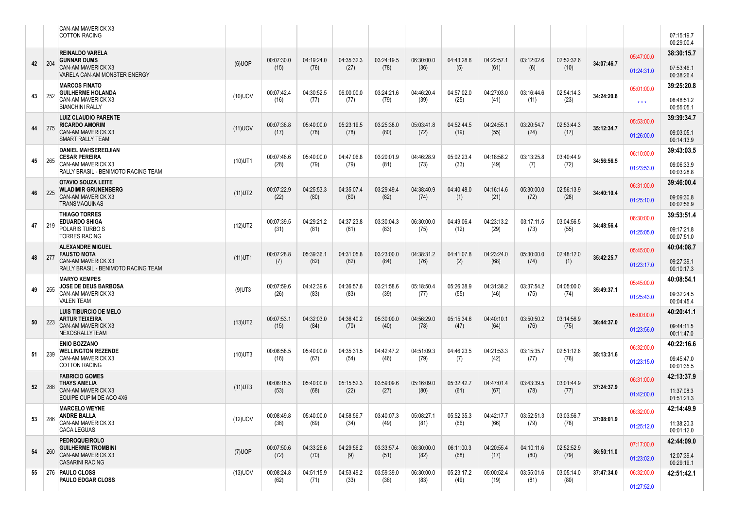|    |     | <b>CAN-AM MAVERICK X3</b><br><b>COTTON RACING</b>         |            |                    |                    |                    |                    |                    |                    |                    |                    |                    |            |                   | 07:15:19.7<br>00:29:00.4 |
|----|-----|-----------------------------------------------------------|------------|--------------------|--------------------|--------------------|--------------------|--------------------|--------------------|--------------------|--------------------|--------------------|------------|-------------------|--------------------------|
|    |     | <b>REINALDO VARELA</b><br><b>GUNNAR DUMS</b>              |            | 00:07:30.0         | 04:19:24.0         | 04:35:32.3         | 03:24:19.5         | 06:30:00.0         | 04:43:28.6         | 04:22:57.1         | 03:12:02.6         | 02:52:32.6         |            | 05:47:00.0        | 38:30:15.7               |
| 42 | 204 | CAN-AM MAVERICK X3<br>VARELA CAN-AM MONSTER ENERGY        | $(6)$ UOP  | (15)               | (76)               | (27)               | (78)               | (36)               | (5)                | (61)               | (6)                | (10)               | 34:07:46.7 | 01:24:31.0        | 07:53:46.1<br>00:38:26.4 |
|    |     | <b>MARCOS FINATO</b><br><b>GUILHERME HOLANDA</b>          |            | 00:07:42.4         | 04:30:52.5         | 06:00:00.0         | 03:24:21.6         | 04:46:20.4         | 04:57:02.0         | 04:27:03.0         | 03:16:44.6         | 02:54:14.3         |            | 05:01:00.0        | 39:25:20.8               |
| 43 | 252 | CAN-AM MAVERICK X3<br><b>BIANCHINI RALLY</b>              | $(10)$ UOV | (16)               | (77)               | (77)               | (79)               | (39)               | (25)               | (41)               | (11)               | (23)               | 34:24:20.8 | $\star\star\star$ | 08:48:51.2<br>00:55:05.1 |
|    |     | <b>LUIZ CLAUDIO PARENTE</b><br><b>RICARDO AMORIM</b>      |            | 00:07:36.8         | 05:40:00.0         | 05:23:19.5         | 03:25:38.0         | 05:03:41.8         | 04:52:44.5         | 04:24:55.1         | 03:20:54.7         | 02:53:44.3         |            | 05:53:00.0        | 39:39:34.7               |
| 44 | 275 | CAN-AM MAVERICK X3<br>SMART RALLY TEAM                    | $(11)$ UOV | (17)               | (78)               | (78)               | (80)               | (72)               | (19)               | (55)               | (24)               | (17)               | 35:12:34.7 | 01:26:00.0        | 09:03:05.1<br>00:14:13.9 |
|    |     | <b>DANIEL MAHSEREDJIAN</b><br><b>CESAR PEREIRA</b>        |            | 00:07:46.6         | 05:40:00.0         | 04:47:06.8         | 03:20:01.9         | 04:46:28.9         | 05:02:23.4         | 04:18:58.2         | 03:13:25.8         | 03:40:44.9         |            | 06:10:00.0        | 39:43:03.5               |
| 45 | 265 | CAN-AM MAVERICK X3<br>RALLY BRASIL - BENIMOTO RACING TEAM | $(10)$ UT1 | (28)               | (79)               | (79)               | (81)               | (73)               | (33)               | (49)               | (7)                | (72)               | 34:56:56.5 | 01:23:53.0        | 09:06:33.9<br>00:03:28.8 |
| 46 | 225 | <b>OTAVIO SOUZA LEITE</b><br><b>WLADIMIR GRUNENBERG</b>   | $(11)$ UT2 | 00:07:22.9         | 04:25:53.3         | 04:35:07.4         | 03:29:49.4         | 04:38:40.9         | 04:40:48.0         | 04:16:14.6         | 05:30:00.0         | 02:56:13.9         | 34:40:10.4 | 06:31:00.0        | 39:46:00.4               |
|    |     | CAN-AM MAVERICK X3<br><b>TRANSMAQUINAS</b>                |            | (22)               | (80)               | (80)               | (82)               | (74)               | (1)                | (21)               | (72)               | (28)               |            | 01:25:10.0        | 09:09:30.8<br>00:02:56.9 |
| 47 | 219 | <b>THIAGO TORRES</b><br><b>EDUARDO SHIGA</b>              | $(12)$ UT2 | 00:07:39.5         | 04:29:21.2         | 04:37:23.8         | 03:30:04.3         | 06:30:00.0         | 04:49:06.4         | 04:23:13.2         | 03:17:11.5         | 03:04:56.5         | 34:48:56.4 | 06:30:00.0        | 39:53:51.4               |
|    |     | POLARIS TURBO S<br><b>TORRES RACING</b>                   |            | (31)               | (81)               | (81)               | (83)               | (75)               | (12)               | (29)               | (73)               | (55)               |            | 01:25:05.0        | 09:17:21.8<br>00:07:51.0 |
|    |     | <b>ALEXANDRE MIGUEL</b><br><b>FAUSTO MOTA</b>             |            | 00:07:28.8         | 05:39:36.          | 04:31:05.8         | 03:23:00.0         | 04:38:31.2         | 04:41:07.8         | 04:23:24.0         | 05:30:00.0         | 02:48:12.0         |            | 05:45:00.0        | 40:04:08.7               |
| 48 | 277 | CAN-AM MAVERICK X3<br>RALLY BRASIL - BENIMOTO RACING TEAM | $(11)$ UT1 | (7)                | (82)               | (82)               | (84)               | (76)               | (2)                | (68)               | (74)               | (1)                | 35:42:25.7 | 01:23:17.0        | 09:27:39.1<br>00:10:17.3 |
| 49 | 255 | <b>MARYO KEMPES</b><br>JOSE DE DEUS BARBOSA               | $(9)$ UT3  | 00:07:59.6         | 04:42:39.6         | 04:36:57.6         | 03:21:58.6         | 05:18:50.4         | 05:26:38.9         | 04:31:38.2         | 03:37:54.2         | 04:05:00.0         | 35:49:37.1 | 05:45:00.0        | 40:08:54.1               |
|    |     | CAN-AM MAVERICK X3<br><b>VALEN TEAM</b>                   |            | (26)               | (83)               | (83)               | (39)               | (77)               | (55)               | (46)               | (75)               | (74)               |            | 01:25:43.0        | 09:32:24.5<br>00:04:45.4 |
| 50 | 223 | <b>LUIS TIBURCIO DE MELO</b><br><b>ARTUR TEIXEIRA</b>     |            | 00:07:53.1         | 04:32:03.0         | 04:36:40.2         | 05:30:00.0         | 04:56:29.0         | 05:15:34.6         | 04:40:10.1         | 03:50:50.2         | 03:14:56.9         | 36:44:37.0 | 05:00:00.0        | 40:20:41.1               |
|    |     | <b>CAN-AM MAVERICK X3</b><br>NEXOSRALLYTEAM               | $(13)$ UT2 | (15)               | (84)               | (70)               | (40)               | (78)               | (47)               | (64)               | (76)               | (75)               |            | 01:23:56.0        | 09:44:11.5<br>00:11:47.0 |
|    |     | <b>ENIO BOZZANO</b><br><b>WELLINGTON REZENDE</b>          |            | 00:08:58.5         | 05:40:00.0         | 04:35:31.5         | 04:42:47.2         | 04:51:09.3         | 04:46:23.5         | 04:21:53.3         | 03:15:35.7         | 02:51:12.6         |            | 06:32:00.0        | 40:22:16.6               |
| 51 | 239 | CAN-AM MAVERICK X3<br><b>COTTON RACING</b>                | $(10)$ UT3 | (16)               | (67)               | (54)               | (46)               | (79)               | (7)                | (42)               | (77)               | (76)               | 35:13:31.6 | 01:23:15.0        | 09:45:47.0<br>00:01:35.5 |
|    |     | <b>FABRICIO GOMES</b><br><b>THAYS AMELIA</b>              |            | 00:08:18.5         | 05:40:00.0         | 05:15:52.3         | 03:59:09.6         | 05:16:09.0         | 05:32:42.7         | 04:47:01.4         | 03:43:39.5         | 03:01:44.9         |            | 06:31:00.0        | 42:13:37.9               |
| 52 | 288 | CAN-AM MAVERICK X3<br>EQUIPE CUPIM DE ACO 4X6             | $(11)$ UT3 | (53)               | (68)               | (22)               | (27)               | (80)               | (61)               | (67)               | (78)               | (77)               | 37:24:37.9 | 01:42:00.0        | 11:37:08.3<br>01:51:21.3 |
|    |     | <b>MARCELO WEYNE</b><br><b>ANDRE BALLA</b>                |            | 00:08:49.8         | 05:40:00.0         | 04:58:56.7         | 03:40:07.3         | 05:08:27.1         | 05:52:35.3         | 04:42:17.7         | 03:52:51.3         | 03:03:56.7         |            | 06:32:00.0        | 42:14:49.9               |
| 53 | 286 | CAN-AM MAVERICK X3<br><b>CACA LEGUAS</b>                  | $(12)$ UOV | (38)               | (69)               | (34)               | (49)               | (81)               | (66)               | (66)               | (79)               | (78)               | 37:08:01.9 | 01:25:12.0        | 11:38:20.3<br>00:01:12.0 |
|    |     | <b>PEDROQUEIROLO</b><br><b>GUILHERME TROMBINI</b>         |            | 00:07:50.6         | 04:33:26.6         | 04:29:56.2         | 03:33:57.4         | 06:30:00.0         | 06:11:00.3         | 04:20:55.4         | 04:10:11.6         | 02:52:52.9         |            | 07:17:00.0        | 42:44:09.0               |
| 54 | 260 | <b>CAN-AM MAVERICK X3</b><br><b>CASARINI RACING</b>       | $(7)$ UOP  | (72)               | (70)               | (9)                | (51)               | (82)               | (68)               | (17)               | (80)               | (79)               | 36:50:11.0 | 01:23:02.0        | 12:07:39.4<br>00:29:19.1 |
| 55 |     | 276 PAULO CLOSS<br>PAULO EDGAR CLOSS                      | $(13)$ UOV | 00:08:24.8<br>(62) | 04:51:15.9<br>(71) | 04:53:49.2<br>(33) | 03:59:39.0<br>(36) | 06:30:00.0<br>(83) | 05:23:17.2<br>(49) | 05:00:52.4<br>(19) | 03:55:01.6<br>(81) | 03:05:14.0<br>(80) | 37:47:34.0 | 06:32:00.0        | 42:51:42.1               |
|    |     |                                                           |            |                    |                    |                    |                    |                    |                    |                    |                    |                    |            | 01:27:52.0        |                          |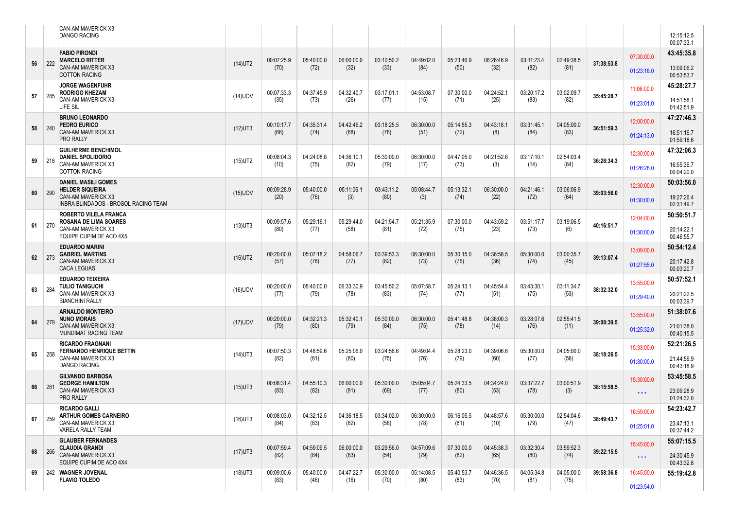|    |     | <b>CAN-AM MAVERICK X3</b><br><b>DANGO RACING</b>                                 |            |                    |                    |                    |                    |                    |                    |                    |                    |                    |            |                   | 12:15:12.5<br>00:07:33.1 |
|----|-----|----------------------------------------------------------------------------------|------------|--------------------|--------------------|--------------------|--------------------|--------------------|--------------------|--------------------|--------------------|--------------------|------------|-------------------|--------------------------|
| 56 | 222 | <b>FABIO PIRONDI</b><br><b>MARCELO RITTER</b>                                    | $(14)$ UT2 | 00:07:25.9         | 05:40:00.0         | 06:00:00.0         | 03:10:50.2         | 04:49:02.0         | 05:23:46.9         | 06:26:46.9         | 03:11:23.4         | 02:49:38.5         | 37:38:53.8 | 07:30:00.0        | 43:45:35.8               |
|    |     | <b>CAN-AM MAVERICK X3</b><br><b>COTTON RACING</b>                                |            | (70)               | (72)               | (32)               | (33)               | (84)               | (50)               | (32)               | (82)               | (81)               |            | 01:23:18.0        | 13:09:06.2<br>00:53:53.7 |
| 57 | 285 | <b>JORGE WAGENFUHR</b><br><b>RODRIGO KHEZAM</b>                                  | $(14)$ UOV | 00:07:33.3         | 04:37:45.9         | 04:32:40.7         | 03:17:01.1         | 04:53:08.7         | 07:30:00.0         | 04:24:52.1         | 03:20:17.2         | 03:02:09.7         | 35:45:28.7 | 11:06:00.0        | 45:28:27.7               |
|    |     | <b>CAN-AM MAVERICK X3</b><br>LIFE SIL                                            |            | (35)               | (73)               | (26)               | (77)               | (15)               | (71)               | (25)               | (83)               | (82)               |            | 01:23:01.0        | 14:51:58.1<br>01:42:51.9 |
| 58 | 240 | <b>BRUNO LEONARDO</b><br><b>PEDRO EURICO</b>                                     | $(12)$ UT3 | 00:10:17.7         | 04:35:31.4         | 04:42:46.2         | 03:18:25.5         | 06:30:00.0         | 05:14:55.3         | 04:43:18.1         | 03:31:45.1         | 04:05:00.0         | 36:51:59.3 | 12:00:00.0        | 47:27:46.3               |
|    |     | CAN-AM MAVERICK X3<br><b>PRO RALLY</b>                                           |            | (66)               | (74)               | (68)               | (78)               | (51)               | (72)               | (8)                | (84)               | (83)               |            | 01:24:13.0        | 16:51:16.7<br>01:59:18.6 |
| 59 | 218 | <b>GUILHERME BENCHIMOL</b><br><b>DANIEL SPOLIDORIO</b>                           | $(15)$ UT2 | 00:08:04.3         | 04:24:08.8         | 04:36:10.1         | 05:30:00.0         | 06:30:00.0         | 04:47:05.0         | 04:21:52.6         | 03:17:10.1         | 02:54:03.4         | 36:28:34.3 | 12:30:00.0        | 47:32:06.3               |
|    |     | <b>CAN-AM MAVERICK X3</b><br><b>COTTON RACING</b>                                |            | (10)               | (75)               | (62)               | (79)               | (17)               | (73)               | (3)                | (14)               | (84)               |            | 01:26:28.0        | 16:55:36.7<br>00:04:20.0 |
| 60 | 290 | <b>DANIEL MASILI GOMES</b><br><b>HELDER SIQUEIRA</b>                             | $(15)$ UOV | 00:09:28.9         | 05:40:00.0         | 05:11:06.1         | 03:43:11.2         | 05:08:44.7         | 05:13:32.1         | 06:30:00.0         | 04:21:46.1         | 03:06:06.9         | 39:03:56.0 | 12:30:00.0        | 50:03:56.0               |
|    |     | <b>CAN-AM MAVERICK X3</b><br><b>INBRA BLINDADOS - BROSOL RACING TEAM</b>         |            | (20)               | (76)               | (3)                | (80)               | (3)                | (74)               | (22)               | (72)               | (64)               |            | 01:30:00.0        | 19:27:26.4<br>02:31:49.7 |
| 61 | 270 | <b>ROBERTO VILELA FRANCA</b><br><b>ROSANA DE LIMA SOARES</b>                     | $(13)$ UT3 | 00:09:57.6         | 05:29:16.1         | 05:29:44.0         | 04:21:54.7         | 05:21:35.9         | 07:30:00.0         | 04:43:59.2         | 03:51:17.7         | 03:19:06.5         | 40:16:51.7 | 12:04:00.0        | 50:50:51.7               |
|    |     | CAN-AM MAVERICK X3<br>EQUIPE CUPIM DE ACO 4X5                                    |            | (80)               | (77)               | (58)               | (81)               | (72)               | (75)               | (23)               | (73)               | (6)                |            | 01:30:00.0        | 20:14:22.1<br>00:46:55.7 |
| 62 | 273 | <b>EDUARDO MARINI</b><br><b>GABRIEL MARTINS</b>                                  | $(16)$ UT2 | 00:20:00.0         | 05:07:18.2         | 04:58:06.7         | 03:39:53.3         | 06:30:00.0         | 05:30:15.0         | 04:36:58.5         | 05:30:00.0         | 03:00:35.7         | 39:13:07.4 | 13:09:00.0        | 50:54:12.4               |
|    |     | CAN-AM MAVERICK X3<br><b>CACA LEGUAS</b>                                         |            | (57)               | (78)               | (77)               | (82)               | (73)               | (76)               | (36)               | (74)               | (45)               |            | 01:27:55.0        | 20:17:42.8<br>00:03:20.7 |
| 63 | 284 | <b>EDUARDO TEIXEIRA</b><br><b>TULIO TANIGUCHI</b>                                | $(16)$ UOV | 00:20:00.0         | 05:40:00.0         | 06:33:30.9         | 03:45:50.2         | 05:07:58.7         | 05:24:13.1         | 04:45:54.4         | 03:43:30.1         | 03:11:34.7         | 38:32:32.0 | 13:55:00.0        | 50:57:52.1               |
|    |     | <b>CAN-AM MAVERICK X3</b><br><b>BIANCHINI RALLY</b>                              |            | (77)               | (79)               | (78)               | (83)               | (74)               | (77)               | (51)               | (75)               | (53)               |            | 01:29:40.0        | 20:21:22.5<br>00:03:39.7 |
| 64 | 279 | <b>ARNALDO MONTEIRO</b><br><b>NUNO MORAIS</b>                                    | $(17)$ UOV | 00:20:00.0         | 04:32:21.3         | 05:32:40.1         | 05:30:00.0         | 06:30:00.0         | 05:41:48.8         | 04:38:00.3         | 03:28:07.6         | 02:55:41.5         | 39:08:39.5 | 13:55:00.0        | 51:38:07.6               |
|    |     | <b>CAN-AM MAVERICK X3</b><br>MUNDIMAT RACING TEAM                                |            | (79)               | (80)               | (79)               | (84)               | (75)               | (78)               | (14)               | (76)               | (11)               |            | 01:25:32.0        | 21:01:38.0<br>00:40:15.5 |
| 65 | 258 | <b>RICARDO FRAGNANI</b><br><b>FERNANDO HENRIQUE BETTIN</b><br>CAN-AM MAVERICK X3 | $(14)$ UT3 | 00:07:50.3         | 04:48:59.6         | 05:25:06.0         | 03:24:56.6         | 04:49:04.4         | 05:28:23.0         | 04:39:06.6         | 05:30:00.0         | 04:05:00.0         | 38:18:26.5 | 15:33:00.0        | 52:21:26.5               |
|    |     | <b>DANGO RACING</b>                                                              |            | (82)               | (81)               | (80)               | (75)               | (76)               | (79)               | (60)               | (77)               | (56)               |            | 01:30:00.0        | 21:44:56.9<br>00:43:18.9 |
| 66 | 281 | <b>GILVANDO BARBOSA</b><br><b>GEORGE HAMILTON</b>                                | $(15)$ UT3 | 00:08:31.4         | 04:55:10.3         | 06:00:00.0         | 05:30:00.0         | 05:05:04.7         | 05:24:33.5         | 04:34:24.0         | 03:37:22.7         | 03:00:51.9         | 38:15:58.5 | 15:30:00.0        | 53:45:58.5               |
|    |     | CAN-AM MAVERICK X3<br><b>PRO RALLY</b>                                           |            | (83)               | (82)               | (81)               | (69)               | (77)               | (80)               | (53)               | (78)               | (3)                |            | $\star\star\star$ | 23:09:28.9<br>01:24:32.0 |
| 67 | 259 | <b>RICARDO GALLI</b><br><b>ARTHUR GOMES CARNEIRO</b>                             | $(16)$ UT3 | 00:08:03.0         | 04:32:12.5         | 04:36:18.5         | 03:34:02.0         | 06:30:00.0         | 06:16:05.5         | 04:48:57.6         | 05:30:00.0         | 02:54:04.6         | 38:49:43.7 | 16:59:00.0        | 54:23:42.7               |
|    |     | CAN-AM MAVERICK X3<br><b>VARELA RALLY TEAM</b>                                   |            | (84)               | (83)               | (82)               | (58)               | (78)               | (81)               | (10)               | (79)               | (47)               |            | 01:25:01.0        | 23:47:13.1<br>00:37:44.2 |
| 68 | 266 | <b>GLAUBER FERNANDES</b><br><b>CLAUDIA GRANDI</b>                                | $(17)$ UT3 | 00:07:59.4         | 04:59:09.5         | 06:00:00.0         | 03:29:56.0         | 04:57:09.6         | 07:30:00.0         | 04:45:38.3         | 03:32:30.4         | 03:59:52.3         | 39:22:15.5 | 15:45:00.0        | 55:07:15.5               |
|    |     | CAN-AM MAVERICK X3<br>EQUIPE CUPIM DE ACO 4X4                                    |            | (82)               | (84)               | (83)               | (54)               | (79)               | (82)               | (65)               | (80)               | (74)               |            | $\star\star\star$ | 24:30:45.9<br>00:43:32.8 |
| 69 |     | 242 WAGNER JOVENAL<br><b>FLAVIO TOLEDO</b>                                       | $(18)$ UT3 | 00:09:00.6<br>(83) | 05:40:00.0<br>(46) | 04:47:22.7<br>(16) | 05:30:00.0<br>(70) | 05:14:08.5<br>(80) | 05:40:53.7<br>(83) | 04:46:36.5<br>(70) | 04:05:34.8<br>(81) | 04:05:00.0<br>(75) | 39:58:36.8 | 16:45:00.0        | 55:19:42.8               |
|    |     |                                                                                  |            |                    |                    |                    |                    |                    |                    |                    |                    |                    |            | 01:23:54.0        |                          |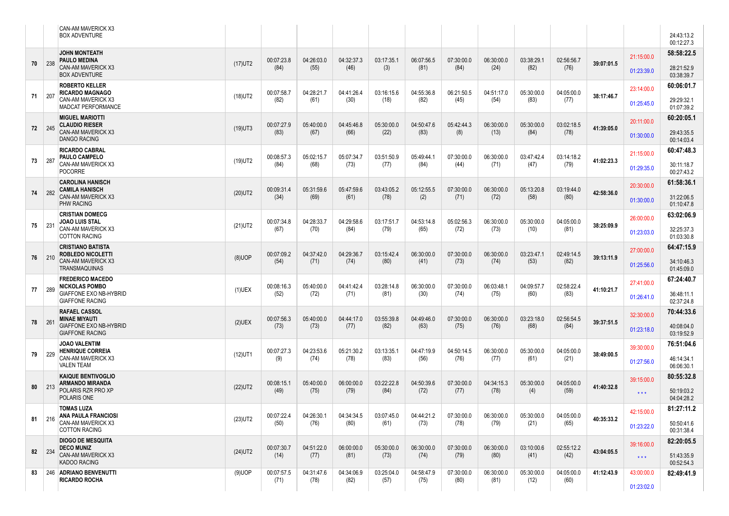|    |             | <b>CAN-AM MAVERICK X3</b><br><b>BOX ADVENTURE</b>                             |            |                    |                    |                    |                    |                    |                    |                    |                    |                    |            |                                 | 24:43:13.2<br>00:12:27.3 |
|----|-------------|-------------------------------------------------------------------------------|------------|--------------------|--------------------|--------------------|--------------------|--------------------|--------------------|--------------------|--------------------|--------------------|------------|---------------------------------|--------------------------|
|    |             | <b>JOHN MONTEATH</b><br><b>PAULO MEDINA</b>                                   |            | 00:07:23.8         | 04:26:03.0         | 04:32:37.3         | 03:17:35.1         | 06:07:56.5         | 07:30:00.0         | 06:30:00.0         | 03:38:29.1         | 02:56:56.7         |            | 21:15:00.0                      | 58:58:22.5               |
| 70 | 238         | <b>CAN-AM MAVERICK X3</b><br><b>BOX ADVENTURE</b>                             | $(17)$ UT2 | (84)               | (55)               | (46)               | (3)                | (81)               | (84)               | (24)               | (82)               | (76)               | 39:07:01.5 | 01:23:39.0                      | 28:21:52.9<br>03:38:39.7 |
| 71 | 207         | <b>ROBERTO KELLER</b><br><b>RICARDO MAGNAGO</b>                               | $(18)$ UT2 | 00:07:58.7         | 04:28:21.7         | 04:41:26.4         | 03:16:15.6         | 04:55:36.8         | 06:21:50.5         | 04:51:17.0         | 05:30:00.0         | 04:05:00.0         | 38:17:46.7 | 23:14:00.0                      | 60:06:01.7               |
|    |             | <b>CAN-AM MAVERICK X3</b><br><b>MADCAT PERFORMANCE</b>                        |            | (82)               | (61)               | (30)               | (18)               | (82)               | (45)               | (54)               | (83)               | (77)               |            | 01:25:45.0                      | 29:29:32.1<br>01:07:39.2 |
| 72 | 245         | <b>MIGUEL MARIOTTI</b><br><b>CLAUDIO RIESER</b><br><b>CAN-AM MAVERICK X3</b>  | $(19)$ UT3 | 00:07:27.9         | 05:40:00.0         | 04:45:46.8         | 05:30:00.0         | 04:50:47.6         | 05:42:44.3         | 06:30:00.0         | 05:30:00.0         | 03:02:18.5         | 41:39:05.0 | 20:11:00.0                      | 60:20:05.1               |
|    |             | <b>DANGO RACING</b>                                                           |            | (83)               | (67)               | (66)               | (22)               | (83)               | (8)                | (13)               | (84)               | (78)               |            | 01:30:00.0                      | 29:43:35.5<br>00:14:03.4 |
| 73 | 287         | <b>RICARDO CABRAL</b><br>PAULO CAMPELO<br>CAN-AM MAVERICK X3                  | $(19)$ UT2 | 00:08:57.3<br>(84) | 05:02:15.7<br>(68) | 05:07:34.7<br>(73) | 03:51:50.9<br>(77) | 05:49:44.<br>(84)  | 07:30:00.0<br>(44) | 06:30:00.0<br>(71) | 03:47:42.4<br>(47) | 03:14:18.2<br>(79) | 41:02:23.3 | 21:15:00.0                      | 60:47:48.3<br>30:11:18.7 |
|    |             | <b>POCORRE</b><br><b>CAROLINA HANISCH</b>                                     |            |                    |                    |                    |                    |                    |                    |                    |                    |                    |            | 01:29:35.0                      | 00:27:43.2<br>61:58:36.1 |
| 74 | 282         | <b>CAMILA HANISCH</b><br>CAN-AM MAVERICK X3                                   | $(20)$ UT2 | 00:09:31.4<br>(34) | 05:31:59.6<br>(69) | 05:47:59.6<br>(61) | 03:43:05.2<br>(78) | 05:12:55.5<br>(2)  | 07:30:00.0<br>(71) | 06:30:00.0<br>(72) | 05:13:20.8<br>(58) | 03:19:44.0<br>(80) | 42:58:36.0 | 20:30:00.0<br>01:30:00.0        | 31:22:06.5               |
|    |             | <b>PHW RACING</b><br><b>CRISTIAN DOMECG</b>                                   |            |                    |                    |                    |                    |                    |                    |                    |                    |                    |            | 26:00:00.0                      | 01:10:47.8<br>63:02:06.9 |
| 75 | 231         | <b>JOAO LUIS STAL</b><br><b>CAN-AM MAVERICK X3</b><br><b>COTTON RACING</b>    | $(21)$ UT2 | 00:07:34.8<br>(67) | 04:28:33.7<br>(70) | 04:29:58.6<br>(84) | 03:17:51.7<br>(79) | 04:53:14.8<br>(65) | 05:02:56.3<br>(72) | 06:30:00.0<br>(73) | 05:30:00.0<br>(10) | 04:05:00.0<br>(81) | 38:25:09.9 | 01:23:03.0                      | 32:25:37.3<br>01:03:30.8 |
|    |             | <b>CRISTIANO BATISTA</b><br><b>ROBLEDO NICOLETTI</b>                          |            | 00:07:09.2         | 04:37:42.0         | 04:29:36.7         | 03:15:42.4         | 06:30:00.0         | 07:30:00.0         | 06:30:00.0         | 03:23:47.1         | 02:49:14.5         |            | 27:00:00.0                      | 64:47:15.9               |
| 76 | $\vert$ 210 | <b>CAN-AM MAVERICK X3</b><br><b>TRANSMAQUINAS</b>                             | $(8)$ UOP  | (54)               | (71)               | (74)               | (80)               | (41)               | (73)               | (74)               | (53)               | (82)               | 39:13:11.9 | 01:25:56.0                      | 34:10:46.3<br>01:45:09.0 |
| 77 | 289         | <b>FREDERICO MACEDO</b><br><b>NICKOLAS POMBO</b>                              | $(1)$ UEX  | 00:08:16.3         | 05:40:00.0         | 04:41:42.4         | 03:28:14.8         | 06:30:00.0         | 07:30:00.0         | 06:03:48.1         | 04:09:57.7         | 02:58:22.4         | 41:10:21.7 | 27:41:00.0                      | 67:24:40.7               |
|    |             | <b>GIAFFONE EXO NB-HYBRID</b><br><b>GIAFFONE RACING</b>                       |            | (52)               | (72)               | (71)               | (81)               | (30)               | (74)               | (75)               | (60)               | (83)               |            | 01:26:41.0                      | 36:48:11.1<br>02:37:24.8 |
| 78 | 261         | <b>RAFAEL CASSOL</b><br><b>MINAE MIYAUTI</b><br><b>GIAFFONE EXO NB-HYBRID</b> | $(2)$ UEX  | 00:07:56.3<br>(73) | 05:40:00.0<br>(73) | 04:44:17.0<br>(77) | 03:55:39.8<br>(82) | 04:49:46.0<br>(63) | 07:30:00.0<br>(75) | 06:30:00.0<br>(76) | 03:23:18.0<br>(68) | 02:56:54.5<br>(84) | 39:37:51.5 | 32:30:00.0                      | 70:44:33.6<br>40:08:04.0 |
|    |             | <b>GIAFFONE RACING</b><br><b>JOAO VALENTIM</b>                                |            |                    |                    |                    |                    |                    |                    |                    |                    |                    |            | 01:23:18.0                      | 03:19:52.9<br>76:51:04.6 |
| 79 | 229         | <b>HENRIQUE CORREIA</b><br><b>CAN-AM MAVERICK X3</b>                          | $(12)$ UT1 | 00:07:27.3<br>(9)  | 04:23:53.6<br>(74) | 05:21:30.2<br>(78) | 03:13:35.1<br>(83) | 04:47:19.9<br>(56) | 04:50:14.5<br>(76) | 06:30:00.0<br>(77) | 05:30:00.0<br>(61) | 04:05:00.0<br>(21) | 38:49:00.5 | 39:30:00.0                      | 46:14:34.1               |
|    |             | <b>VALEN TEAM</b><br><b>KAIQUE BENTIVOGLIO</b>                                |            |                    |                    |                    |                    |                    |                    |                    |                    |                    |            | 01:27:56.0                      | 06:06:30.1<br>80:55:32.8 |
| 80 | 213         | <b>ARMANDO MIRANDA</b><br>POLARIS RZR PRO XP<br>POLARIS ONE                   | $(22)$ UT2 | 00:08:15.1<br>(49) | 05:40:00.0<br>(75) | 06:00:00.0<br>(79) | 03:22:22.8<br>(84) | 04:50:39.6<br>(72) | 07:30:00.0<br>(77) | 04:34:15.3<br>(78) | 05:30:00.0<br>(4)  | 04:05:00.0<br>(59) | 41:40:32.8 | 39:15:00.0<br>$\star\star\star$ | 50:19:03.2<br>04:04:28.2 |
|    |             | <b>TOMAS LUZA</b><br><b>ANA PAULA FRANCIOSI</b>                               |            | 00:07:22.4         | 04:26:30.1         | 04:34:34.5         | 03:07:45.0         | 04:44:21.2         | 07:30:00.0         | 06:30:00.0         | 05:30:00.0         | 04:05:00.0         |            | 42:15:00.0                      | 81:27:11.2               |
| 81 | 216         | CAN-AM MAVERICK X3<br><b>COTTON RACING</b>                                    | $(23)$ UT2 | (50)               | (76)               | (80)               | (61)               | (73)               | (78)               | (79)               | (21)               | (65)               | 40:35:33.2 | 01:23:22.0                      | 50:50:41.6<br>00:31:38.4 |
| 82 | 234         | <b>DIOGO DE MESQUITA</b><br><b>DECO MUNIZ</b>                                 | $(24)$ UT2 | 00:07:30.7         | 04:51:22.0         | 06:00:00.0         | 05:30:00.0         | 06:30:00.0         | 07:30:00.0         | 06:30:00.0         | 03:10:00.6         | 02:55:12.2         | 43:04:05.5 | 39:16:00.0                      | 82:20:05.5               |
|    |             | <b>CAN-AM MAVERICK X3</b><br><b>KADOO RACING</b>                              |            | (14)               | (77)               | (81)               | (73)               | (74)               | (79)               | (80)               | (41)               | (42)               |            | $\star\star\star$               | 51:43:35.9<br>00:52:54.3 |
| 83 |             | 246 ADRIANO BENVENUTTI<br><b>RICARDO ROCHA</b>                                | $(9)$ UOP  | 00:07:57.5<br>(71) | 04:31:47.6<br>(78) | 04:34:06.9<br>(82) | 03:25:04.0<br>(57) | 04:58:47.9<br>(75) | 07:30:00.0<br>(80) | 06:30:00.0<br>(81) | 05:30:00.0<br>(12) | 04:05:00.0<br>(60) | 41:12:43.9 | 43:00:00.0                      | 82:49:41.9               |
|    |             |                                                                               |            |                    |                    |                    |                    |                    |                    |                    |                    |                    |            | 01:23:02.0                      |                          |